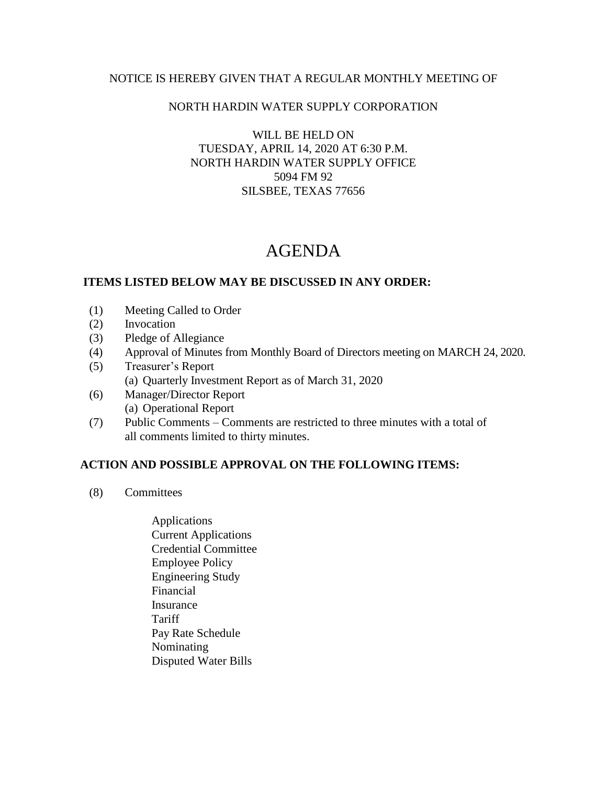### NOTICE IS HEREBY GIVEN THAT A REGULAR MONTHLY MEETING OF

## NORTH HARDIN WATER SUPPLY CORPORATION

WILL BE HELD ON TUESDAY, APRIL 14, 2020 AT 6:30 P.M. NORTH HARDIN WATER SUPPLY OFFICE 5094 FM 92 SILSBEE, TEXAS 77656

# AGENDA

### **ITEMS LISTED BELOW MAY BE DISCUSSED IN ANY ORDER:**

- (1) Meeting Called to Order
- (2) Invocation
- (3) Pledge of Allegiance
- (4) Approval of Minutes from Monthly Board of Directors meeting on MARCH 24, 2020.
- (5) Treasurer's Report (a) Quarterly Investment Report as of March 31, 2020
- (6) Manager/Director Report (a) Operational Report
- (7) Public Comments Comments are restricted to three minutes with a total of all comments limited to thirty minutes.

### **ACTION AND POSSIBLE APPROVAL ON THE FOLLOWING ITEMS:**

- (8) Committees
	- Applications Current Applications Credential Committee Employee Policy Engineering Study Financial Insurance Tariff Pay Rate Schedule Nominating Disputed Water Bills